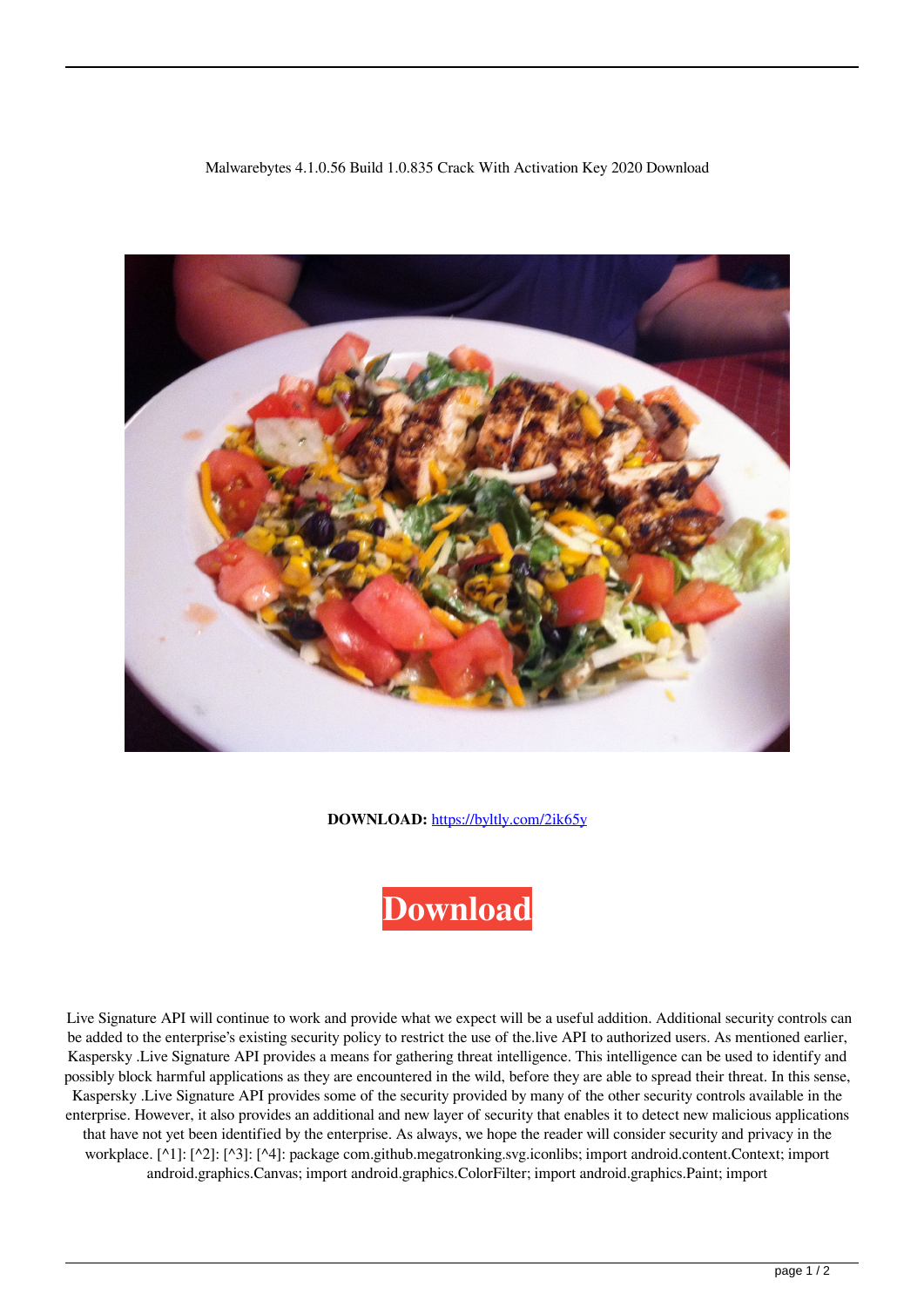## Malwarebytes 4.1.0.56 Build 1.0.835 Crack With Activation Key 2020 Download



**DOWNLOAD:** <https://byltly.com/2ik65y>



 Live Signature API will continue to work and provide what we expect will be a useful addition. Additional security controls can be added to the enterprise's existing security policy to restrict the use of the.live API to authorized users. As mentioned earlier, Kaspersky .Live Signature API provides a means for gathering threat intelligence. This intelligence can be used to identify and possibly block harmful applications as they are encountered in the wild, before they are able to spread their threat. In this sense, Kaspersky .Live Signature API provides some of the security provided by many of the other security controls available in the enterprise. However, it also provides an additional and new layer of security that enables it to detect new malicious applications that have not yet been identified by the enterprise. As always, we hope the reader will consider security and privacy in the workplace. [^1]: [^2]: [^3]: [^4]: package com.github.megatronking.svg.iconlibs; import android.content.Context; import android.graphics.Canvas; import android.graphics.ColorFilter; import android.graphics.Paint; import